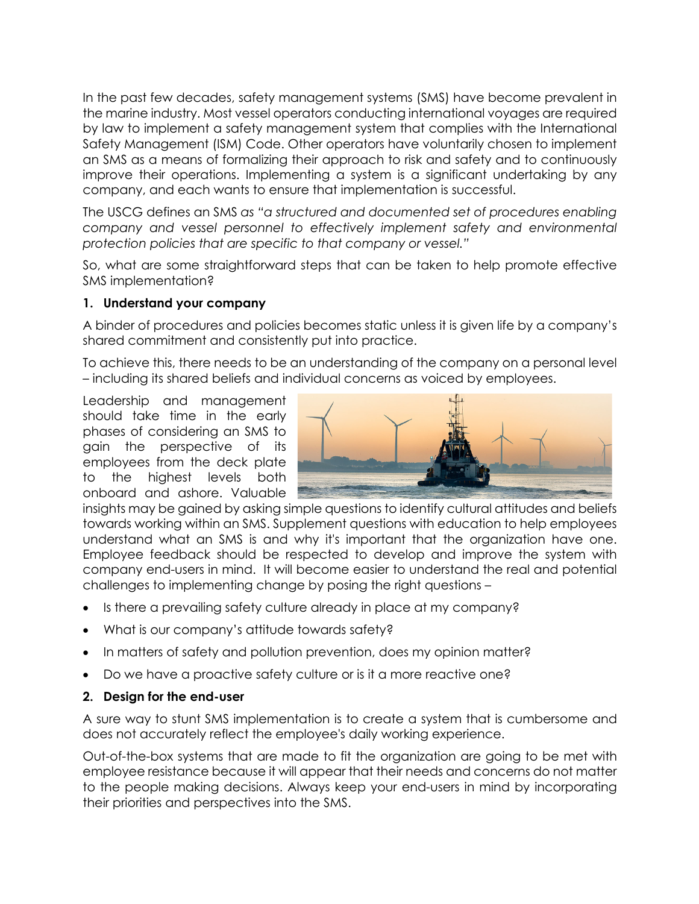In the past few decades, safety management systems (SMS) have become prevalent in the marine industry. Most vessel operators conducting international voyages are required by law to implement a safety management system that complies with the International Safety Management (ISM) Code. Other operators have voluntarily chosen to implement an SMS as a means of formalizing their approach to risk and safety and to continuously improve their operations. Implementing a system is a significant undertaking by any company, and each wants to ensure that implementation is successful.

The USCG defines an SMS *as "a structured and documented set of procedures enabling company and vessel personnel to effectively implement safety and environmental protection policies that are specific to that company or vessel."*

So, what are some straightforward steps that can be taken to help promote effective SMS implementation?

## **1. Understand your company**

A binder of procedures and policies becomes static unless it is given life by a company's shared commitment and consistently put into practice.

To achieve this, there needs to be an understanding of the company on a personal level – including its shared beliefs and individual concerns as voiced by employees.

Leadership and management should take time in the early phases of considering an SMS to gain the perspective of its employees from the deck plate to the highest levels both onboard and ashore. Valuable



insights may be gained by asking simple questions to identify cultural attitudes and beliefs towards working within an SMS. Supplement questions with education to help employees understand what an SMS is and why it's important that the organization have one. Employee feedback should be respected to develop and improve the system with company end-users in mind. It will become easier to understand the real and potential challenges to implementing change by posing the right questions –

- Is there a prevailing safety culture already in place at my company?
- What is our company's attitude towards safety?
- In matters of safety and pollution prevention, does my opinion matter?
- Do we have a proactive safety culture or is it a more reactive one?

## **2. Design for the end-user**

A sure way to stunt SMS implementation is to create a system that is cumbersome and does not accurately reflect the employee's daily working experience.

Out-of-the-box systems that are made to fit the organization are going to be met with employee resistance because it will appear that their needs and concerns do not matter to the people making decisions. Always keep your end-users in mind by incorporating their priorities and perspectives into the SMS.